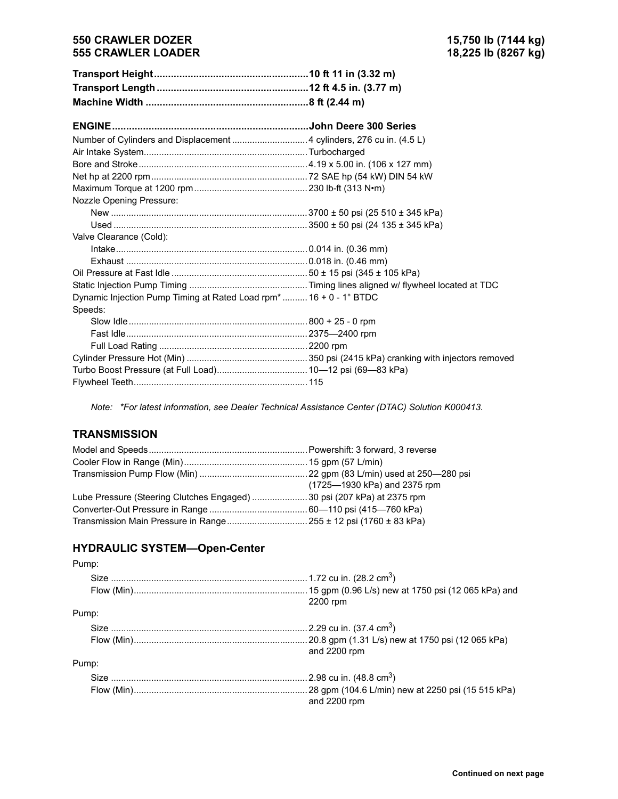### **550 CRAWLER DOZER 15,750 lb (7144 kg) 555 CRAWLER LOADER**

| Nozzle Opening Pressure:                                          |  |
|-------------------------------------------------------------------|--|
|                                                                   |  |
|                                                                   |  |
| Valve Clearance (Cold):                                           |  |
|                                                                   |  |
|                                                                   |  |
|                                                                   |  |
|                                                                   |  |
| Dynamic Injection Pump Timing at Rated Load rpm* 16 + 0 - 1° BTDC |  |
| Speeds:                                                           |  |
|                                                                   |  |
|                                                                   |  |
|                                                                   |  |
|                                                                   |  |
|                                                                   |  |
|                                                                   |  |

*Note: \*For latest information, see Dealer Technical Assistance Center (DTAC) Solution K000413.*

### **TRANSMISSION**

|                                                                        | (1725–1930 kPa) and 2375 rpm |  |  |
|------------------------------------------------------------------------|------------------------------|--|--|
| Lube Pressure (Steering Clutches Engaged) 30 psi (207 kPa) at 2375 rpm |                              |  |  |
|                                                                        |                              |  |  |
|                                                                        |                              |  |  |

# **HYDRAULIC SYSTEM-Open-Center**

| Pump: |                                     |
|-------|-------------------------------------|
|       |                                     |
|       | 2200 rpm                            |
| Pump: |                                     |
|       | 2.29 cu in. (37.4 cm <sup>3</sup> ) |
|       | and 2200 rpm                        |
| Pump: |                                     |
|       | 2.98 cu in. (48.8 cm <sup>3</sup> ) |
|       | and 2200 rpm                        |